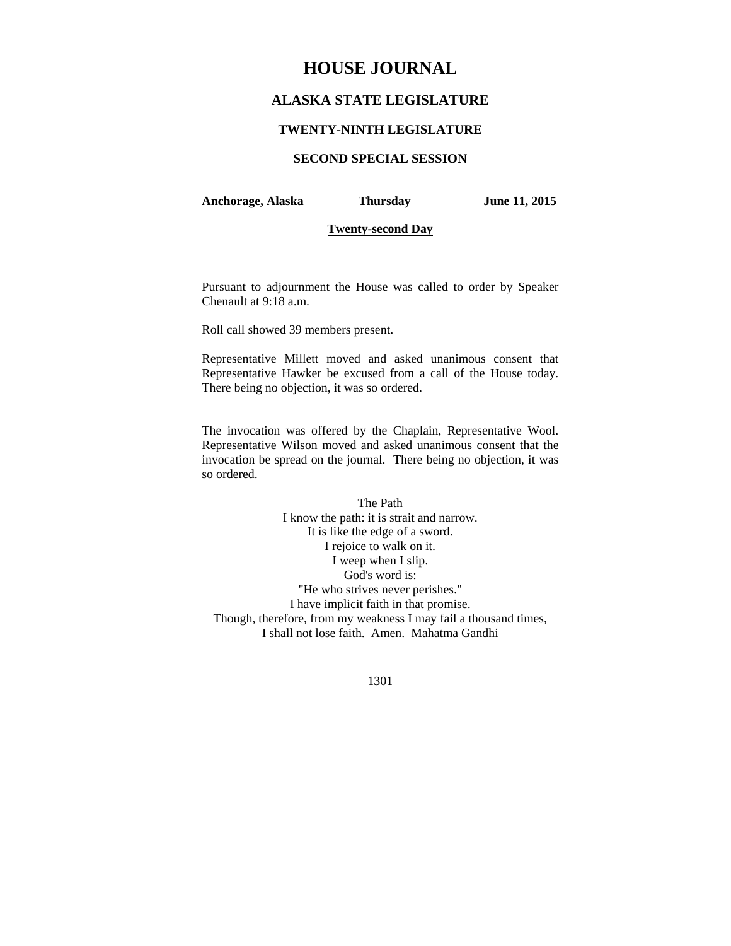# **HOUSE JOURNAL**

## **ALASKA STATE LEGISLATURE**

## **TWENTY-NINTH LEGISLATURE**

## **SECOND SPECIAL SESSION**

**Anchorage, Alaska Thursday June 11, 2015** 

## **Twenty-second Day**

Pursuant to adjournment the House was called to order by Speaker Chenault at 9:18 a.m.

Roll call showed 39 members present.

Representative Millett moved and asked unanimous consent that Representative Hawker be excused from a call of the House today. There being no objection, it was so ordered.

The invocation was offered by the Chaplain, Representative Wool. Representative Wilson moved and asked unanimous consent that the invocation be spread on the journal. There being no objection, it was so ordered.

The Path I know the path: it is strait and narrow. It is like the edge of a sword. I rejoice to walk on it. I weep when I slip. God's word is: "He who strives never perishes." I have implicit faith in that promise. Though, therefore, from my weakness I may fail a thousand times, I shall not lose faith. Amen. Mahatma Gandhi

1301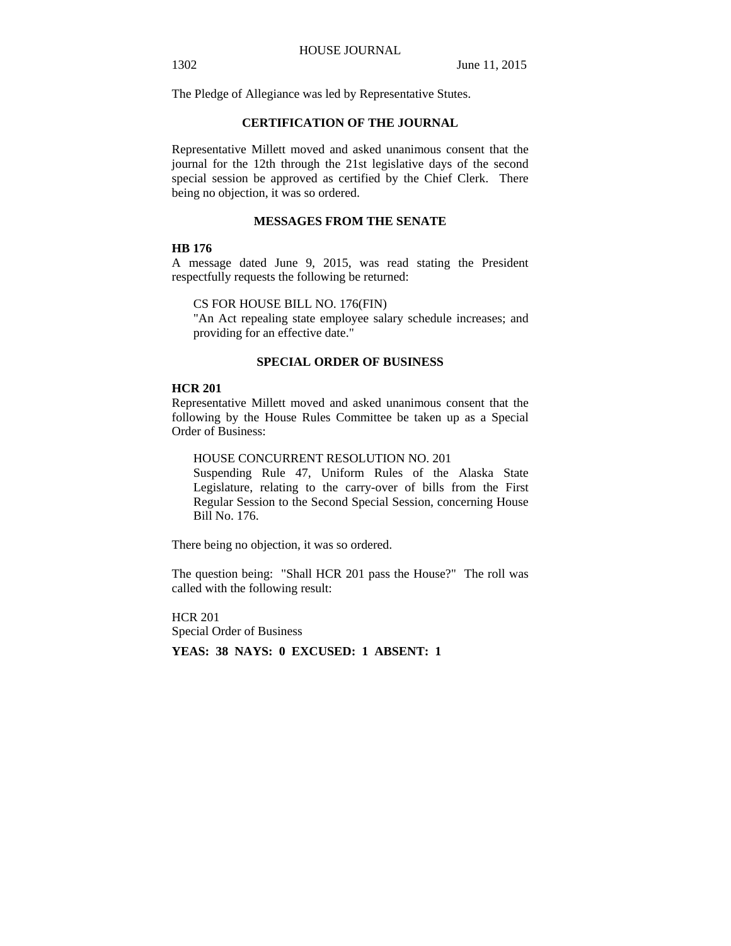The Pledge of Allegiance was led by Representative Stutes.

## **CERTIFICATION OF THE JOURNAL**

Representative Millett moved and asked unanimous consent that the journal for the 12th through the 21st legislative days of the second special session be approved as certified by the Chief Clerk. There being no objection, it was so ordered.

## **MESSAGES FROM THE SENATE**

#### **HB 176**

A message dated June 9, 2015, was read stating the President respectfully requests the following be returned:

CS FOR HOUSE BILL NO. 176(FIN)

"An Act repealing state employee salary schedule increases; and providing for an effective date."

## **SPECIAL ORDER OF BUSINESS**

#### **HCR 201**

Representative Millett moved and asked unanimous consent that the following by the House Rules Committee be taken up as a Special Order of Business:

HOUSE CONCURRENT RESOLUTION NO. 201

Suspending Rule 47, Uniform Rules of the Alaska State Legislature, relating to the carry-over of bills from the First Regular Session to the Second Special Session, concerning House Bill No. 176.

There being no objection, it was so ordered.

The question being: "Shall HCR 201 pass the House?" The roll was called with the following result:

HCR 201 Special Order of Business **YEAS: 38 NAYS: 0 EXCUSED: 1 ABSENT: 1**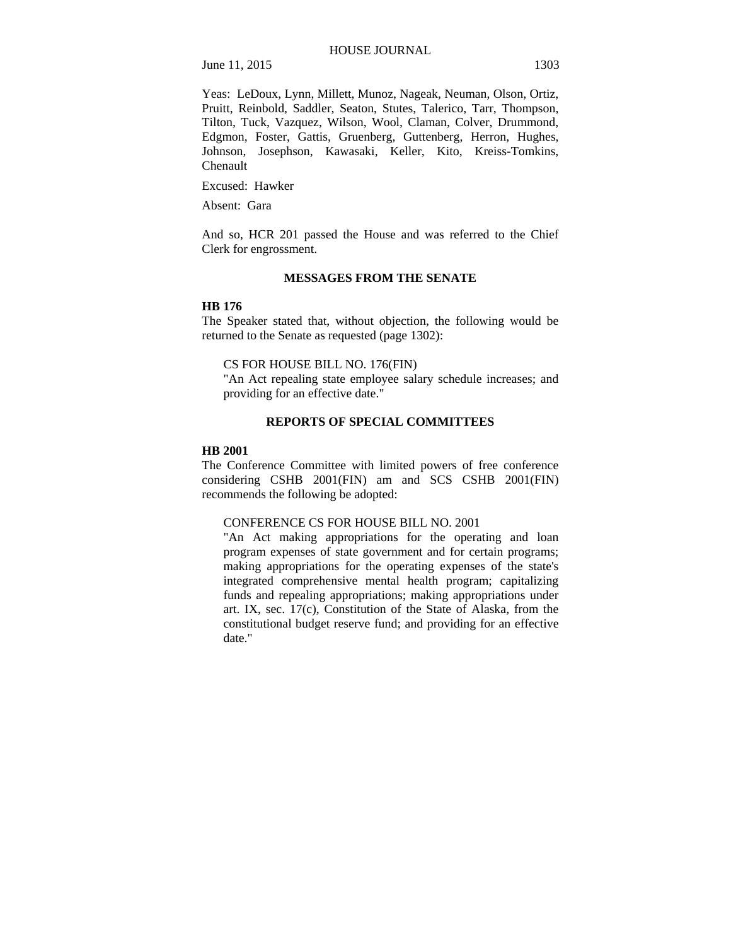Yeas: LeDoux, Lynn, Millett, Munoz, Nageak, Neuman, Olson, Ortiz, Pruitt, Reinbold, Saddler, Seaton, Stutes, Talerico, Tarr, Thompson, Tilton, Tuck, Vazquez, Wilson, Wool, Claman, Colver, Drummond, Edgmon, Foster, Gattis, Gruenberg, Guttenberg, Herron, Hughes, Johnson, Josephson, Kawasaki, Keller, Kito, Kreiss-Tomkins, Chenault

Excused: Hawker

Absent: Gara

And so, HCR 201 passed the House and was referred to the Chief Clerk for engrossment.

#### **MESSAGES FROM THE SENATE**

#### **HB 176**

The Speaker stated that, without objection, the following would be returned to the Senate as requested (page 1302):

### CS FOR HOUSE BILL NO. 176(FIN)

"An Act repealing state employee salary schedule increases; and providing for an effective date."

## **REPORTS OF SPECIAL COMMITTEES**

#### **HB 2001**

The Conference Committee with limited powers of free conference considering CSHB 2001(FIN) am and SCS CSHB 2001(FIN) recommends the following be adopted:

#### CONFERENCE CS FOR HOUSE BILL NO. 2001

"An Act making appropriations for the operating and loan program expenses of state government and for certain programs; making appropriations for the operating expenses of the state's integrated comprehensive mental health program; capitalizing funds and repealing appropriations; making appropriations under art. IX, sec. 17(c), Constitution of the State of Alaska, from the constitutional budget reserve fund; and providing for an effective date."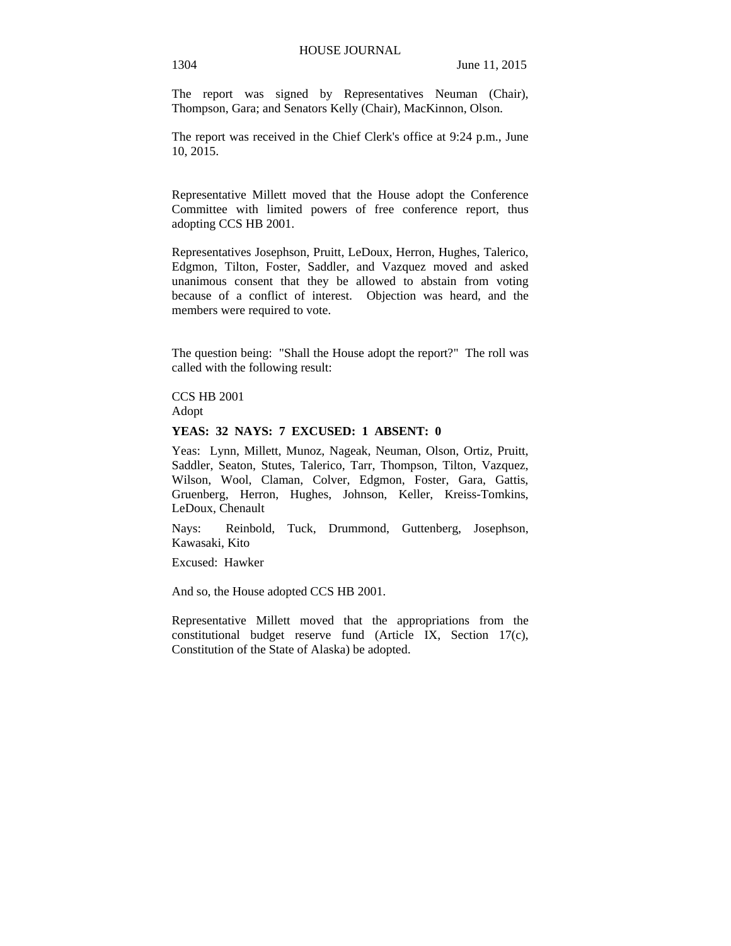The report was signed by Representatives Neuman (Chair), Thompson, Gara; and Senators Kelly (Chair), MacKinnon, Olson.

The report was received in the Chief Clerk's office at 9:24 p.m., June 10, 2015.

Representative Millett moved that the House adopt the Conference Committee with limited powers of free conference report, thus adopting CCS HB 2001.

Representatives Josephson, Pruitt, LeDoux, Herron, Hughes, Talerico, Edgmon, Tilton, Foster, Saddler, and Vazquez moved and asked unanimous consent that they be allowed to abstain from voting because of a conflict of interest. Objection was heard, and the members were required to vote.

The question being: "Shall the House adopt the report?" The roll was called with the following result:

CCS HB 2001 Adopt

#### **YEAS: 32 NAYS: 7 EXCUSED: 1 ABSENT: 0**

Yeas: Lynn, Millett, Munoz, Nageak, Neuman, Olson, Ortiz, Pruitt, Saddler, Seaton, Stutes, Talerico, Tarr, Thompson, Tilton, Vazquez, Wilson, Wool, Claman, Colver, Edgmon, Foster, Gara, Gattis, Gruenberg, Herron, Hughes, Johnson, Keller, Kreiss-Tomkins, LeDoux, Chenault

Nays: Reinbold, Tuck, Drummond, Guttenberg, Josephson, Kawasaki, Kito

Excused: Hawker

And so, the House adopted CCS HB 2001.

Representative Millett moved that the appropriations from the constitutional budget reserve fund (Article IX, Section 17(c), Constitution of the State of Alaska) be adopted.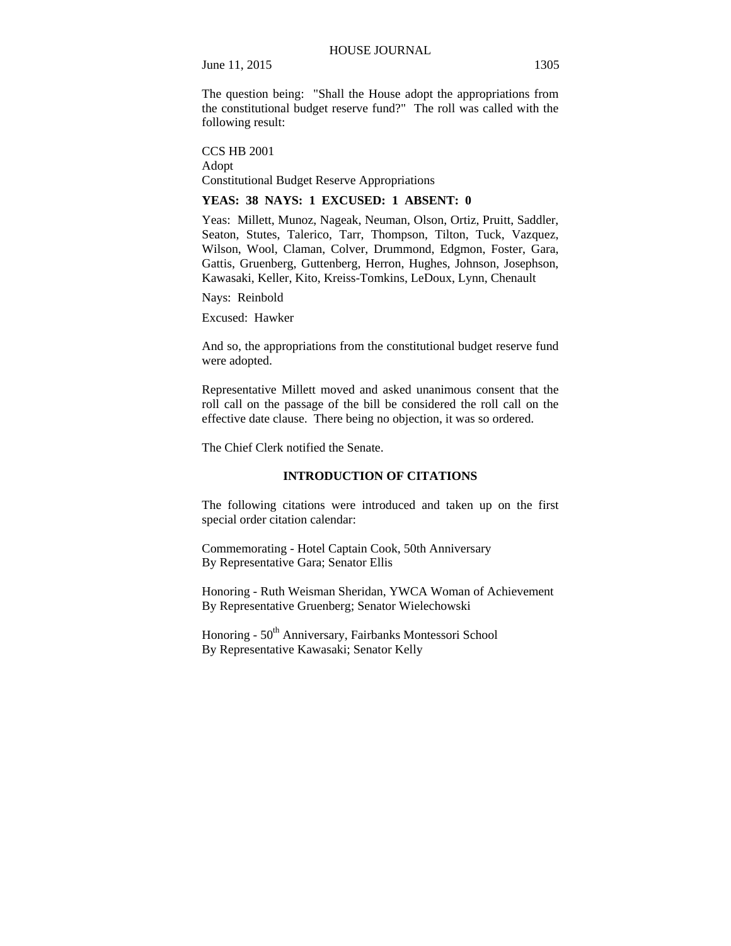The question being: "Shall the House adopt the appropriations from the constitutional budget reserve fund?" The roll was called with the following result:

CCS HB 2001 Adopt Constitutional Budget Reserve Appropriations

## **YEAS: 38 NAYS: 1 EXCUSED: 1 ABSENT: 0**

Yeas: Millett, Munoz, Nageak, Neuman, Olson, Ortiz, Pruitt, Saddler, Seaton, Stutes, Talerico, Tarr, Thompson, Tilton, Tuck, Vazquez, Wilson, Wool, Claman, Colver, Drummond, Edgmon, Foster, Gara, Gattis, Gruenberg, Guttenberg, Herron, Hughes, Johnson, Josephson, Kawasaki, Keller, Kito, Kreiss-Tomkins, LeDoux, Lynn, Chenault

Nays: Reinbold

Excused: Hawker

And so, the appropriations from the constitutional budget reserve fund were adopted.

Representative Millett moved and asked unanimous consent that the roll call on the passage of the bill be considered the roll call on the effective date clause. There being no objection, it was so ordered.

The Chief Clerk notified the Senate.

#### **INTRODUCTION OF CITATIONS**

The following citations were introduced and taken up on the first special order citation calendar:

Commemorating - Hotel Captain Cook, 50th Anniversary By Representative Gara; Senator Ellis

Honoring - Ruth Weisman Sheridan, YWCA Woman of Achievement By Representative Gruenberg; Senator Wielechowski

Honoring - 50<sup>th</sup> Anniversary, Fairbanks Montessori School By Representative Kawasaki; Senator Kelly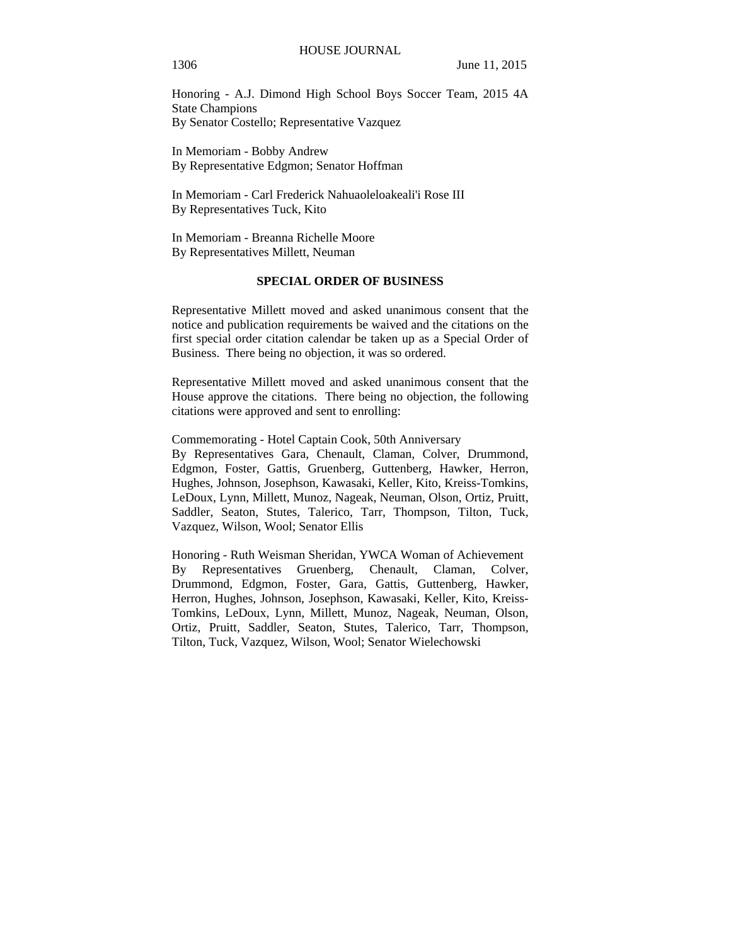Honoring - A.J. Dimond High School Boys Soccer Team, 2015 4A State Champions By Senator Costello; Representative Vazquez

In Memoriam - Bobby Andrew By Representative Edgmon; Senator Hoffman

In Memoriam - Carl Frederick Nahuaoleloakeali'i Rose III By Representatives Tuck, Kito

In Memoriam - Breanna Richelle Moore By Representatives Millett, Neuman

## **SPECIAL ORDER OF BUSINESS**

Representative Millett moved and asked unanimous consent that the notice and publication requirements be waived and the citations on the first special order citation calendar be taken up as a Special Order of Business. There being no objection, it was so ordered.

Representative Millett moved and asked unanimous consent that the House approve the citations. There being no objection, the following citations were approved and sent to enrolling:

Commemorating - Hotel Captain Cook, 50th Anniversary By Representatives Gara, Chenault, Claman, Colver, Drummond, Edgmon, Foster, Gattis, Gruenberg, Guttenberg, Hawker, Herron, Hughes, Johnson, Josephson, Kawasaki, Keller, Kito, Kreiss-Tomkins, LeDoux, Lynn, Millett, Munoz, Nageak, Neuman, Olson, Ortiz, Pruitt, Saddler, Seaton, Stutes, Talerico, Tarr, Thompson, Tilton, Tuck, Vazquez, Wilson, Wool; Senator Ellis

Honoring - Ruth Weisman Sheridan, YWCA Woman of Achievement By Representatives Gruenberg, Chenault, Claman, Colver, Drummond, Edgmon, Foster, Gara, Gattis, Guttenberg, Hawker, Herron, Hughes, Johnson, Josephson, Kawasaki, Keller, Kito, Kreiss-Tomkins, LeDoux, Lynn, Millett, Munoz, Nageak, Neuman, Olson, Ortiz, Pruitt, Saddler, Seaton, Stutes, Talerico, Tarr, Thompson, Tilton, Tuck, Vazquez, Wilson, Wool; Senator Wielechowski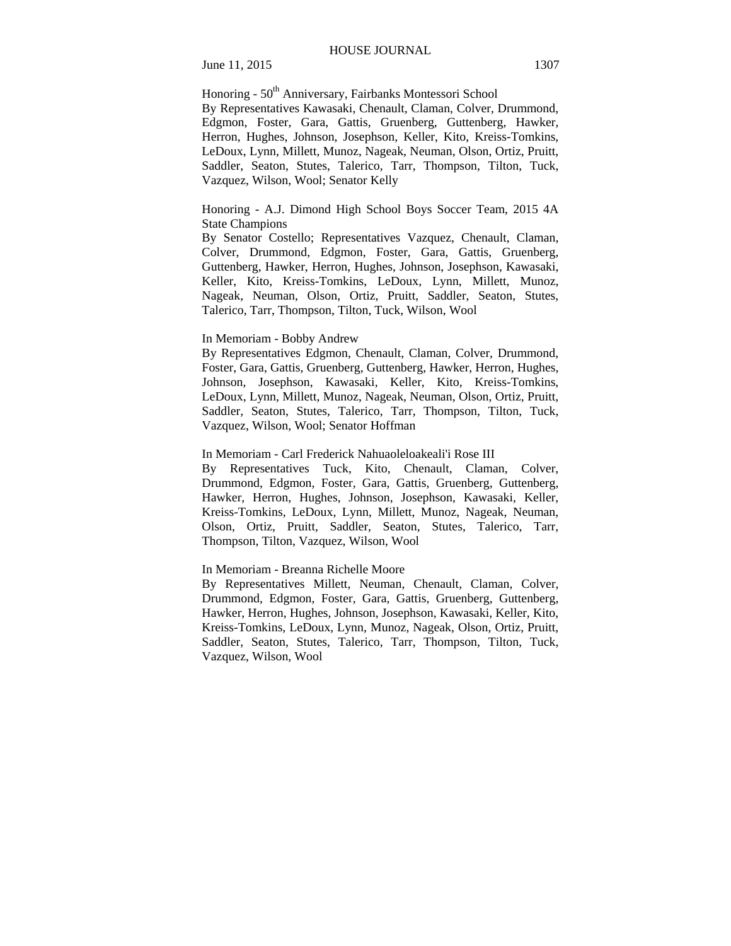Honoring - 50<sup>th</sup> Anniversary, Fairbanks Montessori School

By Representatives Kawasaki, Chenault, Claman, Colver, Drummond, Edgmon, Foster, Gara, Gattis, Gruenberg, Guttenberg, Hawker, Herron, Hughes, Johnson, Josephson, Keller, Kito, Kreiss-Tomkins, LeDoux, Lynn, Millett, Munoz, Nageak, Neuman, Olson, Ortiz, Pruitt, Saddler, Seaton, Stutes, Talerico, Tarr, Thompson, Tilton, Tuck, Vazquez, Wilson, Wool; Senator Kelly

## Honoring - A.J. Dimond High School Boys Soccer Team, 2015 4A State Champions

By Senator Costello; Representatives Vazquez, Chenault, Claman, Colver, Drummond, Edgmon, Foster, Gara, Gattis, Gruenberg, Guttenberg, Hawker, Herron, Hughes, Johnson, Josephson, Kawasaki, Keller, Kito, Kreiss-Tomkins, LeDoux, Lynn, Millett, Munoz, Nageak, Neuman, Olson, Ortiz, Pruitt, Saddler, Seaton, Stutes, Talerico, Tarr, Thompson, Tilton, Tuck, Wilson, Wool

#### In Memoriam - Bobby Andrew

By Representatives Edgmon, Chenault, Claman, Colver, Drummond, Foster, Gara, Gattis, Gruenberg, Guttenberg, Hawker, Herron, Hughes, Johnson, Josephson, Kawasaki, Keller, Kito, Kreiss-Tomkins, LeDoux, Lynn, Millett, Munoz, Nageak, Neuman, Olson, Ortiz, Pruitt, Saddler, Seaton, Stutes, Talerico, Tarr, Thompson, Tilton, Tuck, Vazquez, Wilson, Wool; Senator Hoffman

## In Memoriam - Carl Frederick Nahuaoleloakeali'i Rose III

By Representatives Tuck, Kito, Chenault, Claman, Colver, Drummond, Edgmon, Foster, Gara, Gattis, Gruenberg, Guttenberg, Hawker, Herron, Hughes, Johnson, Josephson, Kawasaki, Keller, Kreiss-Tomkins, LeDoux, Lynn, Millett, Munoz, Nageak, Neuman, Olson, Ortiz, Pruitt, Saddler, Seaton, Stutes, Talerico, Tarr, Thompson, Tilton, Vazquez, Wilson, Wool

#### In Memoriam - Breanna Richelle Moore

By Representatives Millett, Neuman, Chenault, Claman, Colver, Drummond, Edgmon, Foster, Gara, Gattis, Gruenberg, Guttenberg, Hawker, Herron, Hughes, Johnson, Josephson, Kawasaki, Keller, Kito, Kreiss-Tomkins, LeDoux, Lynn, Munoz, Nageak, Olson, Ortiz, Pruitt, Saddler, Seaton, Stutes, Talerico, Tarr, Thompson, Tilton, Tuck, Vazquez, Wilson, Wool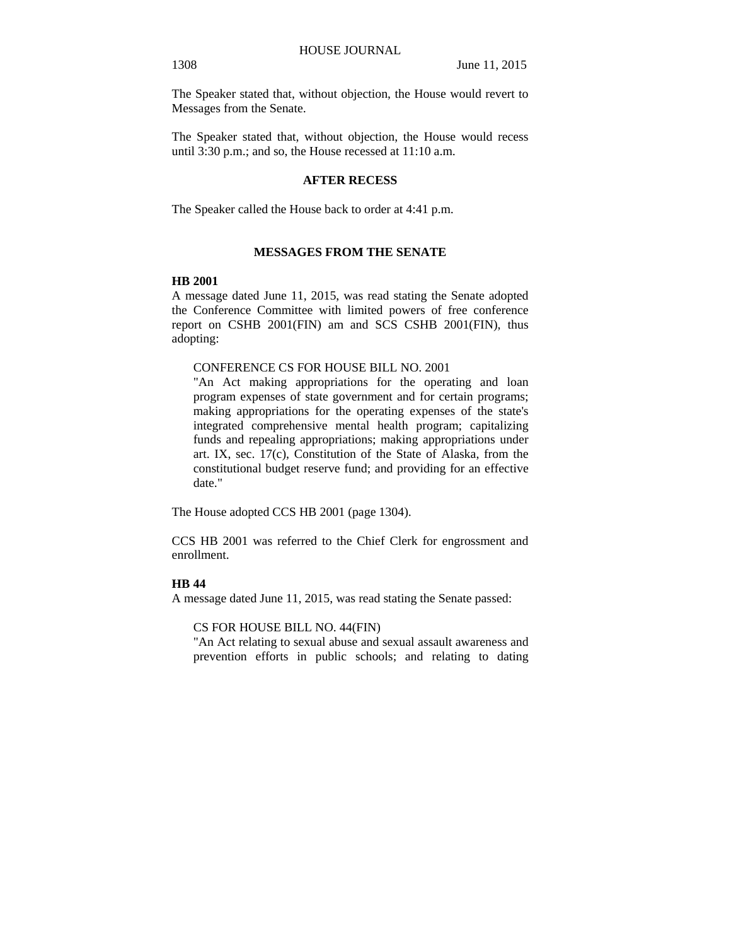The Speaker stated that, without objection, the House would revert to Messages from the Senate.

The Speaker stated that, without objection, the House would recess until 3:30 p.m.; and so, the House recessed at 11:10 a.m.

## **AFTER RECESS**

The Speaker called the House back to order at 4:41 p.m.

## **MESSAGES FROM THE SENATE**

### **HB 2001**

A message dated June 11, 2015, was read stating the Senate adopted the Conference Committee with limited powers of free conference report on CSHB 2001(FIN) am and SCS CSHB 2001(FIN), thus adopting:

## CONFERENCE CS FOR HOUSE BILL NO. 2001

"An Act making appropriations for the operating and loan program expenses of state government and for certain programs; making appropriations for the operating expenses of the state's integrated comprehensive mental health program; capitalizing funds and repealing appropriations; making appropriations under art. IX, sec. 17(c), Constitution of the State of Alaska, from the constitutional budget reserve fund; and providing for an effective date."

The House adopted CCS HB 2001 (page 1304).

CCS HB 2001 was referred to the Chief Clerk for engrossment and enrollment.

## **HB 44**

A message dated June 11, 2015, was read stating the Senate passed:

CS FOR HOUSE BILL NO. 44(FIN)

"An Act relating to sexual abuse and sexual assault awareness and prevention efforts in public schools; and relating to dating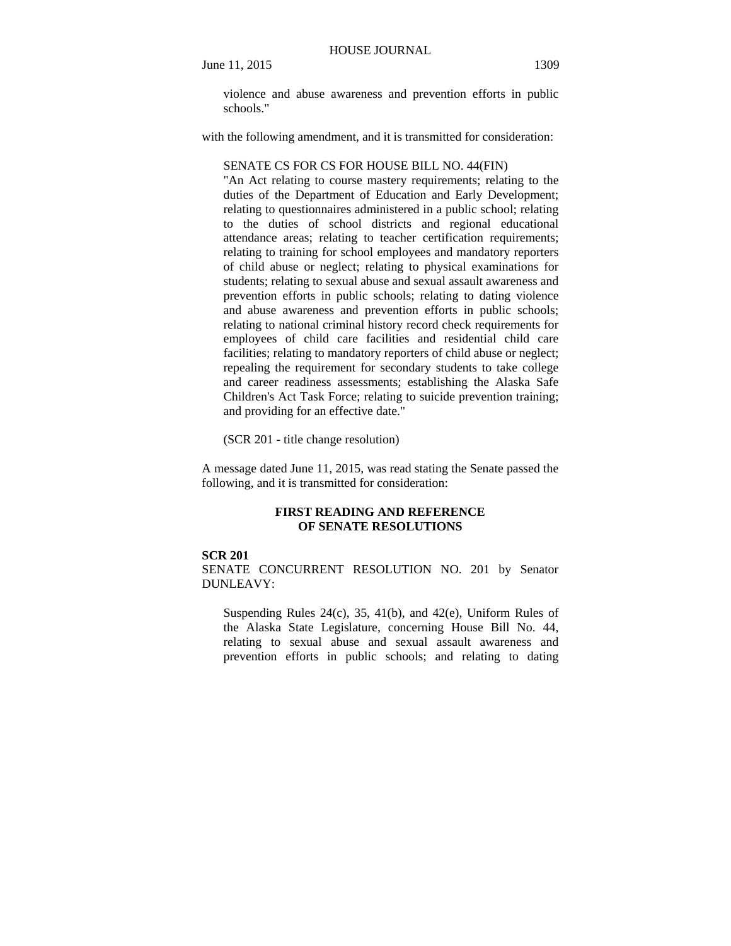violence and abuse awareness and prevention efforts in public schools."

with the following amendment, and it is transmitted for consideration:

#### SENATE CS FOR CS FOR HOUSE BILL NO. 44(FIN)

"An Act relating to course mastery requirements; relating to the duties of the Department of Education and Early Development; relating to questionnaires administered in a public school; relating to the duties of school districts and regional educational attendance areas; relating to teacher certification requirements; relating to training for school employees and mandatory reporters of child abuse or neglect; relating to physical examinations for students; relating to sexual abuse and sexual assault awareness and prevention efforts in public schools; relating to dating violence and abuse awareness and prevention efforts in public schools; relating to national criminal history record check requirements for employees of child care facilities and residential child care facilities; relating to mandatory reporters of child abuse or neglect; repealing the requirement for secondary students to take college and career readiness assessments; establishing the Alaska Safe Children's Act Task Force; relating to suicide prevention training; and providing for an effective date."

(SCR 201 - title change resolution)

A message dated June 11, 2015, was read stating the Senate passed the following, and it is transmitted for consideration:

## **FIRST READING AND REFERENCE OF SENATE RESOLUTIONS**

#### **SCR 201**

SENATE CONCURRENT RESOLUTION NO. 201 by Senator DUNLEAVY:

Suspending Rules  $24(c)$ ,  $35$ ,  $41(b)$ , and  $42(e)$ , Uniform Rules of the Alaska State Legislature, concerning House Bill No. 44, relating to sexual abuse and sexual assault awareness and prevention efforts in public schools; and relating to dating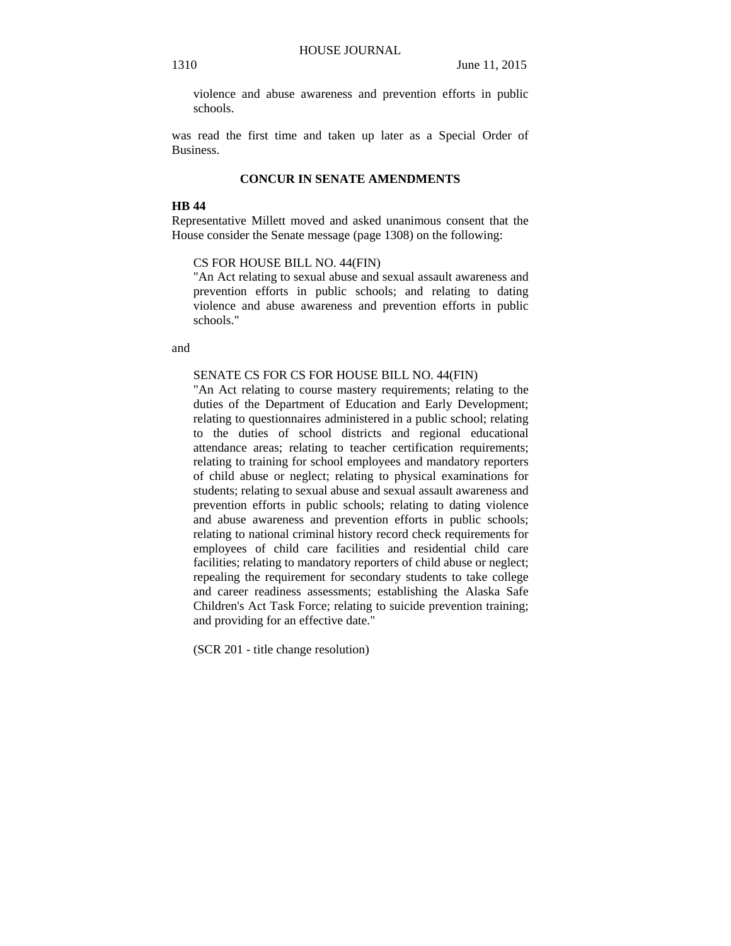violence and abuse awareness and prevention efforts in public schools.

was read the first time and taken up later as a Special Order of Business.

## **CONCUR IN SENATE AMENDMENTS**

#### **HB 44**

Representative Millett moved and asked unanimous consent that the House consider the Senate message (page 1308) on the following:

## CS FOR HOUSE BILL NO. 44(FIN)

"An Act relating to sexual abuse and sexual assault awareness and prevention efforts in public schools; and relating to dating violence and abuse awareness and prevention efforts in public schools."

and

#### SENATE CS FOR CS FOR HOUSE BILL NO. 44(FIN)

"An Act relating to course mastery requirements; relating to the duties of the Department of Education and Early Development; relating to questionnaires administered in a public school; relating to the duties of school districts and regional educational attendance areas; relating to teacher certification requirements; relating to training for school employees and mandatory reporters of child abuse or neglect; relating to physical examinations for students; relating to sexual abuse and sexual assault awareness and prevention efforts in public schools; relating to dating violence and abuse awareness and prevention efforts in public schools; relating to national criminal history record check requirements for employees of child care facilities and residential child care facilities; relating to mandatory reporters of child abuse or neglect; repealing the requirement for secondary students to take college and career readiness assessments; establishing the Alaska Safe Children's Act Task Force; relating to suicide prevention training; and providing for an effective date."

(SCR 201 - title change resolution)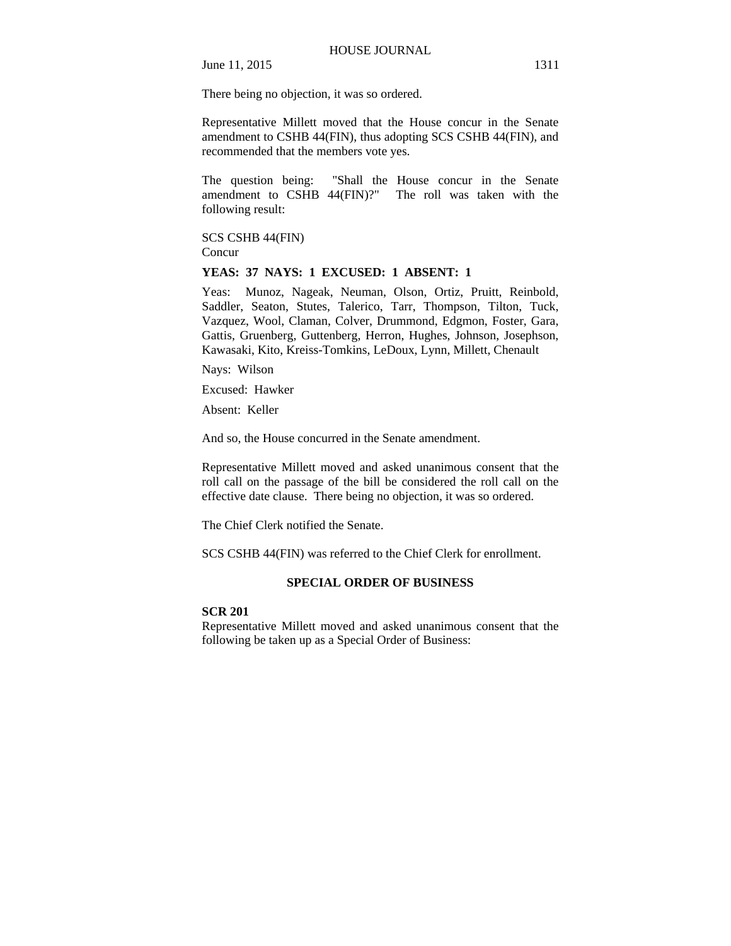There being no objection, it was so ordered.

Representative Millett moved that the House concur in the Senate amendment to CSHB 44(FIN), thus adopting SCS CSHB 44(FIN), and recommended that the members vote yes.

The question being: "Shall the House concur in the Senate amendment to CSHB 44(FIN)?" The roll was taken with the following result:

SCS CSHB 44(FIN) **Concur** 

## **YEAS: 37 NAYS: 1 EXCUSED: 1 ABSENT: 1**

Yeas: Munoz, Nageak, Neuman, Olson, Ortiz, Pruitt, Reinbold, Saddler, Seaton, Stutes, Talerico, Tarr, Thompson, Tilton, Tuck, Vazquez, Wool, Claman, Colver, Drummond, Edgmon, Foster, Gara, Gattis, Gruenberg, Guttenberg, Herron, Hughes, Johnson, Josephson, Kawasaki, Kito, Kreiss-Tomkins, LeDoux, Lynn, Millett, Chenault

Nays: Wilson

Excused: Hawker

Absent: Keller

And so, the House concurred in the Senate amendment.

Representative Millett moved and asked unanimous consent that the roll call on the passage of the bill be considered the roll call on the effective date clause. There being no objection, it was so ordered.

The Chief Clerk notified the Senate.

SCS CSHB 44(FIN) was referred to the Chief Clerk for enrollment.

## **SPECIAL ORDER OF BUSINESS**

#### **SCR 201**

Representative Millett moved and asked unanimous consent that the following be taken up as a Special Order of Business: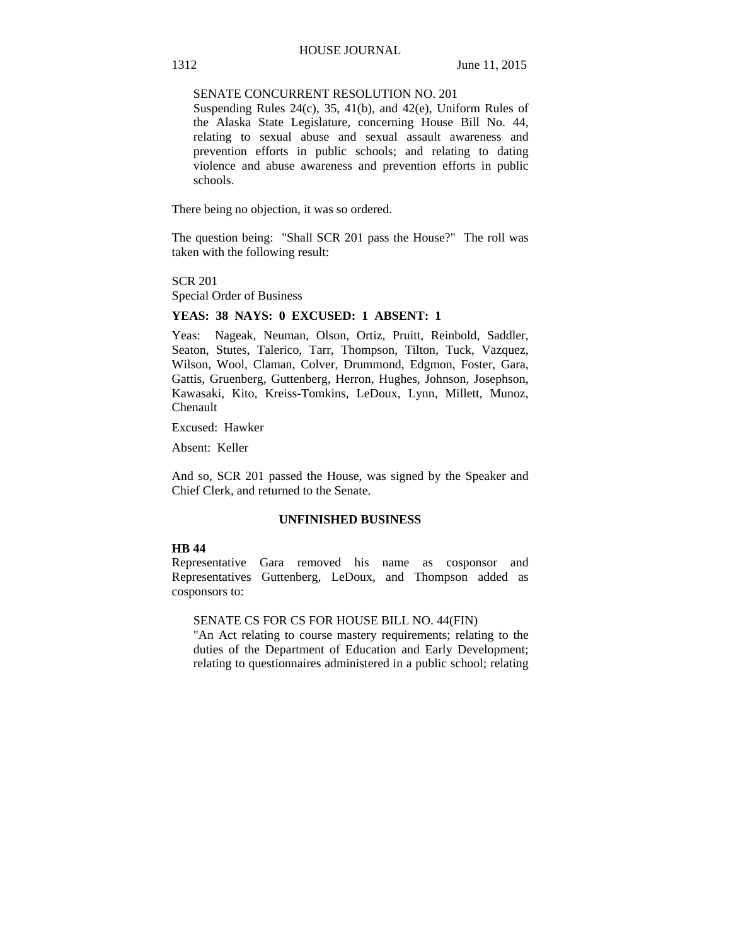## SENATE CONCURRENT RESOLUTION NO. 201

Suspending Rules 24(c), 35, 41(b), and 42(e), Uniform Rules of the Alaska State Legislature, concerning House Bill No. 44, relating to sexual abuse and sexual assault awareness and prevention efforts in public schools; and relating to dating violence and abuse awareness and prevention efforts in public schools.

There being no objection, it was so ordered.

The question being: "Shall SCR 201 pass the House?" The roll was taken with the following result:

SCR 201 Special Order of Business

## **YEAS: 38 NAYS: 0 EXCUSED: 1 ABSENT: 1**

Yeas: Nageak, Neuman, Olson, Ortiz, Pruitt, Reinbold, Saddler, Seaton, Stutes, Talerico, Tarr, Thompson, Tilton, Tuck, Vazquez, Wilson, Wool, Claman, Colver, Drummond, Edgmon, Foster, Gara, Gattis, Gruenberg, Guttenberg, Herron, Hughes, Johnson, Josephson, Kawasaki, Kito, Kreiss-Tomkins, LeDoux, Lynn, Millett, Munoz, Chenault

Excused: Hawker

Absent: Keller

And so, SCR 201 passed the House, was signed by the Speaker and Chief Clerk, and returned to the Senate.

## **UNFINISHED BUSINESS**

## **HB 44**

Representative Gara removed his name as cosponsor and Representatives Guttenberg, LeDoux, and Thompson added as cosponsors to:

## SENATE CS FOR CS FOR HOUSE BILL NO. 44(FIN)

"An Act relating to course mastery requirements; relating to the duties of the Department of Education and Early Development; relating to questionnaires administered in a public school; relating